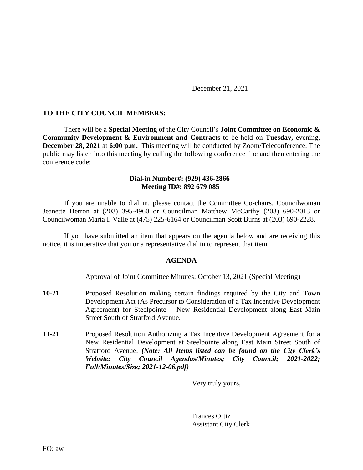December 21, 2021

## **TO THE CITY COUNCIL MEMBERS:**

There will be a **Special Meeting** of the City Council's **Joint Committee on Economic & Community Development & Environment and Contracts** to be held on **Tuesday,** evening, **December 28, 2021** at **6:00 p.m.** This meeting will be conducted by Zoom/Teleconference. The public may listen into this meeting by calling the following conference line and then entering the conference code:

## **Dial-in Number#: (929) 436-2866 Meeting ID#: 892 679 085**

If you are unable to dial in, please contact the Committee Co-chairs, Councilwoman Jeanette Herron at (203) 395-4960 or Councilman Matthew McCarthy (203) 690-2013 or Councilwoman Maria I. Valle at (475) 225-6164 or Councilman Scott Burns at (203) 690-2228.

If you have submitted an item that appears on the agenda below and are receiving this notice, it is imperative that you or a representative dial in to represent that item.

## **AGENDA**

Approval of Joint Committee Minutes: October 13, 2021 (Special Meeting)

- **10-21** Proposed Resolution making certain findings required by the City and Town Development Act (As Precursor to Consideration of a Tax Incentive Development Agreement) for Steelpointe – New Residential Development along East Main Street South of Stratford Avenue.
- **11-21** Proposed Resolution Authorizing a Tax Incentive Development Agreement for a New Residential Development at Steelpointe along East Main Street South of Stratford Avenue. *(Note: All Items listed can be found on the City Clerk's Website: City Council Agendas/Minutes; City Council; 2021-2022; Full/Minutes/Size; 2021-12-06.pdf)*

Very truly yours,

Frances Ortiz Assistant City Clerk